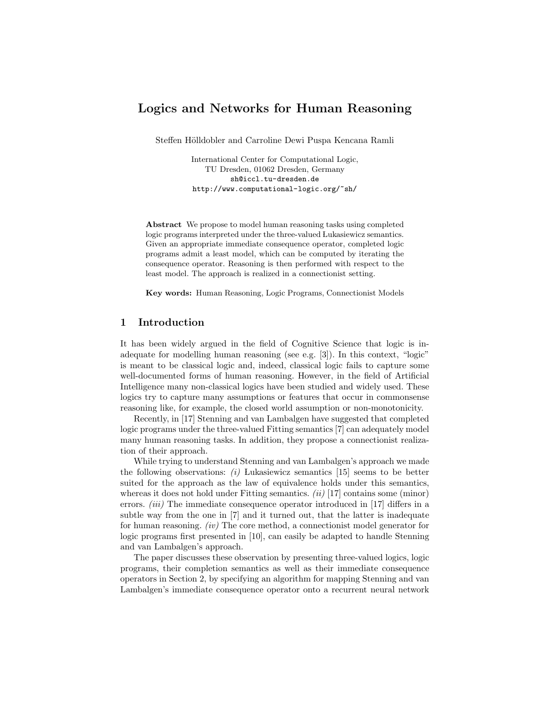# Logics and Networks for Human Reasoning

Steffen Hölldobler and Carroline Dewi Puspa Kencana Ramli

International Center for Computational Logic, TU Dresden, 01062 Dresden, Germany sh@iccl.tu-dresden.de http://www.computational-logic.org/~sh/

Abstract We propose to model human reasoning tasks using completed logic programs interpreted under the three-valued Lukasiewicz semantics. Given an appropriate immediate consequence operator, completed logic programs admit a least model, which can be computed by iterating the consequence operator. Reasoning is then performed with respect to the least model. The approach is realized in a connectionist setting.

Key words: Human Reasoning, Logic Programs, Connectionist Models

# 1 Introduction

It has been widely argued in the field of Cognitive Science that logic is inadequate for modelling human reasoning (see e.g. [3]). In this context, "logic" is meant to be classical logic and, indeed, classical logic fails to capture some well-documented forms of human reasoning. However, in the field of Artificial Intelligence many non-classical logics have been studied and widely used. These logics try to capture many assumptions or features that occur in commonsense reasoning like, for example, the closed world assumption or non-monotonicity.

Recently, in [17] Stenning and van Lambalgen have suggested that completed logic programs under the three-valued Fitting semantics [7] can adequately model many human reasoning tasks. In addition, they propose a connectionist realization of their approach.

While trying to understand Stenning and van Lambalgen's approach we made the following observations:  $(i)$  Lukasiewicz semantics [15] seems to be better suited for the approach as the law of equivalence holds under this semantics, whereas it does not hold under Fitting semantics. *(ii)* [17] contains some (minor) errors. *(iii)* The immediate consequence operator introduced in [17] differs in a subtle way from the one in [7] and it turned out, that the latter is inadequate for human reasoning. (iv) The core method, a connectionist model generator for logic programs first presented in [10], can easily be adapted to handle Stenning and van Lambalgen's approach.

The paper discusses these observation by presenting three-valued logics, logic programs, their completion semantics as well as their immediate consequence operators in Section 2, by specifying an algorithm for mapping Stenning and van Lambalgen's immediate consequence operator onto a recurrent neural network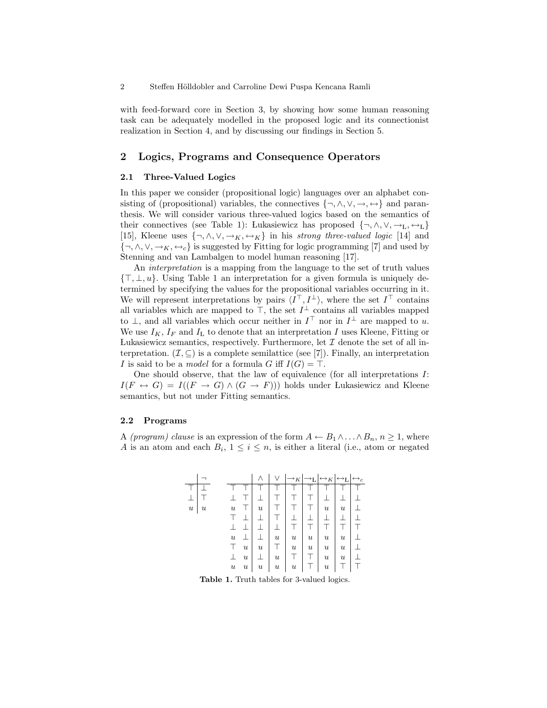with feed-forward core in Section 3, by showing how some human reasoning task can be adequately modelled in the proposed logic and its connectionist realization in Section 4, and by discussing our findings in Section 5.

# 2 Logics, Programs and Consequence Operators

#### 2.1 Three-Valued Logics

In this paper we consider (propositional logic) languages over an alphabet consisting of (propositional) variables, the connectives  $\{\neg, \wedge, \vee, \rightarrow, \leftrightarrow\}$  and paranthesis. We will consider various three-valued logics based on the semantics of their connectives (see Table 1): Lukasiewicz has proposed  $\{\neg, \wedge, \vee, \rightarrow_L, \leftrightarrow_L\}$ [15], Kleene uses  $\{\neg, \wedge, \vee, \rightarrow_K, \leftrightarrow_K\}$  in his strong three-valued logic [14] and  $\{\neg, \wedge, \vee, \rightarrow_K, \leftrightarrow_c\}$  is suggested by Fitting for logic programming [7] and used by Stenning and van Lambalgen to model human reasoning [17].

An interpretation is a mapping from the language to the set of truth values  ${\{\top, \bot, u\}}$ . Using Table 1 an interpretation for a given formula is uniquely determined by specifying the values for the propositional variables occurring in it. We will represent interpretations by pairs  $\langle I^{\top}, I^{\perp} \rangle$ , where the set  $I^{\top}$  contains all variables which are mapped to  $\top$ , the set  $I^{\perp}$  contains all variables mapped to  $\perp$ , and all variables which occur neither in  $I^{\top}$  nor in  $I^{\perp}$  are mapped to u. We use  $I_K$ ,  $I_F$  and  $I_L$  to denote that an interpretation I uses Kleene, Fitting or Lukasiewicz semantics, respectively. Furthermore, let  $\mathcal I$  denote the set of all interpretation.  $(\mathcal{I}, \subseteq)$  is a complete semilattice (see [7]). Finally, an interpretation I is said to be a model for a formula G iff  $I(G) = \top$ .

One should observe, that the law of equivalence (for all interpretations  $I$ :  $I(F \leftrightarrow G) = I((F \to G) \land (G \to F)))$  holds under Lukasiewicz and Kleene semantics, but not under Fitting semantics.

#### 2.2 Programs

A (program) clause is an expression of the form  $A \leftarrow B_1 \wedge \ldots \wedge B_n, n \ge 1$ , where A is an atom and each  $B_i$ ,  $1 \leq i \leq n$ , is either a literal (i.e., atom or negated

|                  |                           |                  |                  |                           | ٧                         | $\rightarrow$ K           | $\rightarrow_{L}$ | $\leftrightarrow_K$ | $\leftrightarrow$ E |  |
|------------------|---------------------------|------------------|------------------|---------------------------|---------------------------|---------------------------|-------------------|---------------------|---------------------|--|
|                  |                           |                  |                  |                           |                           |                           |                   |                     |                     |  |
|                  |                           |                  |                  |                           |                           |                           |                   |                     |                     |  |
| $\boldsymbol{u}$ | $\boldsymbol{\mathit{u}}$ | $\boldsymbol{u}$ |                  | $\boldsymbol{\mathit{u}}$ |                           |                           |                   | $\boldsymbol{u}$    | $\boldsymbol{u}$    |  |
|                  |                           |                  |                  |                           |                           |                           | $\mathbf{I}$      |                     |                     |  |
|                  |                           |                  |                  |                           |                           |                           |                   |                     |                     |  |
|                  |                           | $\boldsymbol{u}$ |                  |                           | $\boldsymbol{u}$          | $\boldsymbol{u}$          | $\boldsymbol{u}$  | $\boldsymbol{u}$    | $\boldsymbol{u}$    |  |
|                  |                           |                  | $\boldsymbol{u}$ | $\boldsymbol{\mathit{u}}$ |                           | $\boldsymbol{u}$          | $\boldsymbol{u}$  | $\boldsymbol{u}$    | $\boldsymbol{u}$    |  |
|                  |                           |                  | $\boldsymbol{u}$ |                           | $\boldsymbol{u}$          |                           |                   | $\boldsymbol{u}$    | $\boldsymbol{u}$    |  |
|                  |                           | $\boldsymbol{u}$ | $\boldsymbol{u}$ | $\boldsymbol{\mathit{u}}$ | $\boldsymbol{\mathit{u}}$ | $\boldsymbol{\mathit{u}}$ |                   | $\boldsymbol{u}$    |                     |  |

Table 1. Truth tables for 3-valued logics.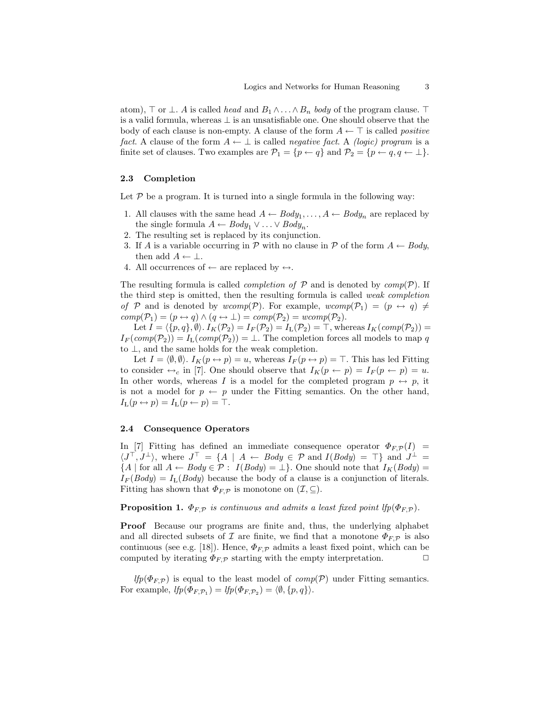atom),  $\top$  or  $\bot$ . A is called head and  $B_1 \wedge \ldots \wedge B_n$  body of the program clause.  $\top$ is a valid formula, whereas  $\perp$  is an unsatisfiable one. One should observe that the body of each clause is non-empty. A clause of the form  $A \leftarrow \top$  is called *positive* fact. A clause of the form  $A \leftarrow \perp$  is called negative fact. A (logic) program is a finite set of clauses. Two examples are  $\mathcal{P}_1 = \{p \leftarrow q\}$  and  $\mathcal{P}_2 = \{p \leftarrow q, q \leftarrow \perp\}.$ 

#### 2.3 Completion

Let  $P$  be a program. It is turned into a single formula in the following way:

- 1. All clauses with the same head  $A \leftarrow Body_1, \ldots, A \leftarrow Body_n$  are replaced by the single formula  $A \leftarrow Body_1 \vee \ldots \vee Body_n$ .
- 2. The resulting set is replaced by its conjunction.
- 3. If A is a variable occurring in P with no clause in P of the form  $A \leftarrow Body$ , then add  $A \leftarrow \perp$ .
- 4. All occurrences of  $\leftarrow$  are replaced by  $\leftrightarrow$ .

The resulting formula is called *completion of*  $P$  and is denoted by  $comp(P)$ . If the third step is omitted, then the resulting formula is called weak completion of P and is denoted by wcomp(P). For example, wcomp(P<sub>1</sub>) =  $(p \leftrightarrow q) \neq$  $comp(\mathcal{P}_1) = (p \leftrightarrow q) \land (q \leftrightarrow \bot) = comp(\mathcal{P}_2) = wcomp(\mathcal{P}_2).$ 

Let  $I = \langle \{p, q\}, \emptyset \rangle$ .  $I_K(\mathcal{P}_2) = I_F(\mathcal{P}_2) = I_L(\mathcal{P}_2) = \top$ , whereas  $I_K(\text{comp}(\mathcal{P}_2)) =$  $I_F(comp(\mathcal{P}_2)) = I_L(comp(\mathcal{P}_2)) = \perp$ . The completion forces all models to map q to  $\perp$ , and the same holds for the weak completion.

Let  $I = \langle \emptyset, \emptyset \rangle$ .  $I_K(p \leftrightarrow p) = u$ , whereas  $I_F(p \leftrightarrow p) = \top$ . This has led Fitting to consider  $\leftrightarrow_c$  in [7]. One should observe that  $I_K(p \leftarrow p) = I_F(p \leftarrow p) = u$ . In other words, whereas I is a model for the completed program  $p \leftrightarrow p$ , it is not a model for  $p \leftarrow p$  under the Fitting semantics. On the other hand,  $I_{\mathcal{L}}(p \leftrightarrow p) = I_{\mathcal{L}}(p \leftarrow p) = \top.$ 

#### 2.4 Consequence Operators

In [7] Fitting has defined an immediate consequence operator  $\Phi_{F,\mathcal{P}}(I)$  =  $\langle J^{\top}, J^{\perp} \rangle$ , where  $J^{\top} = \{ A \mid A \leftarrow Body \in \mathcal{P} \text{ and } I(Body) = \top \}$  and  $J^{\perp} =$  ${A \mid \text{for all } A \leftarrow Body \in \mathcal{P}: I(Body) = \perp}.$  One should note that  $I_K(Body) =$  $I_F(Body) = I_L(Body)$  because the body of a clause is a conjunction of literals. Fitting has shown that  $\Phi_{F,\mathcal{P}}$  is monotone on  $(\mathcal{I}, \subseteq)$ .

**Proposition 1.**  $\Phi_{F,P}$  is continuous and admits a least fixed point lfp( $\Phi_{F,P}$ ).

Proof Because our programs are finite and, thus, the underlying alphabet and all directed subsets of I are finite, we find that a monotone  $\Phi_{F,P}$  is also continuous (see e.g. [18]). Hence,  $\Phi_{F,\mathcal{P}}$  admits a least fixed point, which can be computed by iterating  $\Phi_{F,\mathcal{P}}$  starting with the empty interpretation.  $\Box$ 

 $lfp(\Phi_{F,P})$  is equal to the least model of  $comp(\mathcal{P})$  under Fitting semantics. For example,  $lfp(\Phi_{F,\mathcal{P}_1}) = lfp(\Phi_{F,\mathcal{P}_2}) = \langle \emptyset, \{p,q\} \rangle.$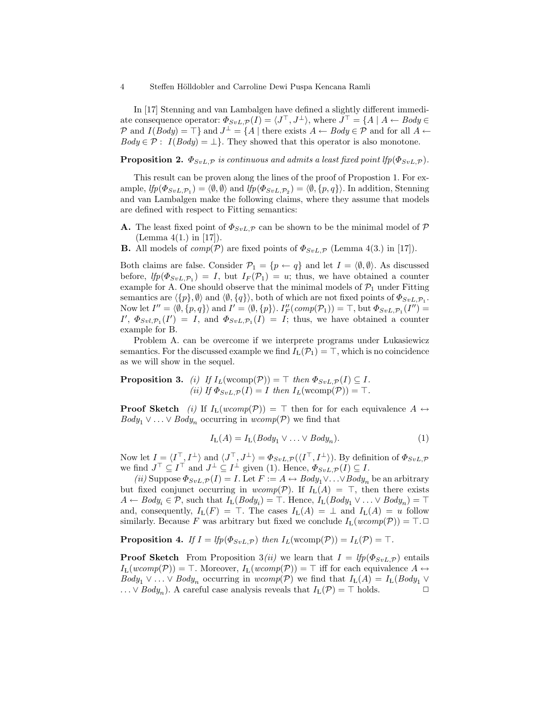4 Steffen Hölldobler and Carroline Dewi Puspa Kencana Ramli

In [17] Stenning and van Lambalgen have defined a slightly different immediate consequence operator:  $\Phi_{SvL,\mathcal{P}}(I) = \langle J^{\top}, J^{\perp} \rangle$ , where  $J^{\top} = \{A \mid A \leftarrow Body \in$ P and  $I(Body) = \top$  and  $J^{\perp} = \{A \mid \text{there exists } A \leftarrow Body \in \mathcal{P} \text{ and for all } A \leftarrow$  $Body \in \mathcal{P}: I(Body) = \perp$ . They showed that this operator is also monotone.

**Proposition 2.**  $\Phi_{SvL,\mathcal{P}}$  is continuous and admits a least fixed point lfp( $\Phi_{SvL,\mathcal{P}}$ ).

This result can be proven along the lines of the proof of Propostion 1. For example,  $lfp(\Phi_{SvL, P_1}) = \langle \emptyset, \emptyset \rangle$  and  $lfp(\Phi_{SvL, P_2}) = \langle \emptyset, \{p, q\} \rangle$ . In addition, Stenning and van Lambalgen make the following claims, where they assume that models are defined with respect to Fitting semantics:

- **A.** The least fixed point of  $\Phi_{SvL,\mathcal{P}}$  can be shown to be the minimal model of  $\mathcal{P}$ (Lemma 4(1.) in [17]).
- **B.** All models of  $comp(\mathcal{P})$  are fixed points of  $\Phi_{SvL,\mathcal{P}}$  (Lemma 4(3.) in [17]).

Both claims are false. Consider  $\mathcal{P}_1 = \{p \leftarrow q\}$  and let  $I = \langle \emptyset, \emptyset \rangle$ . As discussed before,  $lfp(\Phi_{SvL,\mathcal{P}_1}) = I$ , but  $I_F(\mathcal{P}_1) = u$ ; thus, we have obtained a counter example for A. One should observe that the minimal models of  $P_1$  under Fitting semantics are  $\langle \{p\}, \emptyset \rangle$  and  $\langle \emptyset, \{q\} \rangle$ , both of which are not fixed points of  $\Phi_{SvL, \mathcal{P}_1}$ . Now let  $I'' = \langle \emptyset, \{p, q\} \rangle$  and  $I' = \langle \emptyset, \{p\} \rangle$ .  $I''_F(\text{comp}(\mathcal{P}_1)) = \top$ , but  $\Phi_{SvL, \mathcal{P}_1}(I'') =$  $I', \ \Phi_{Svl, \mathcal{P}_1}(I') = I, \text{ and } \ \Phi_{Svl, \mathcal{P}_1}(I) = I; \text{ thus, we have obtained a counter.}$ example for B.

Problem A. can be overcome if we interprete programs under Lukasiewicz semantics. For the discussed example we find  $I_L(\mathcal{P}_1) = \top$ , which is no coincidence as we will show in the sequel.

**Proposition 3.** (i) If  $I_L(\text{wcomp}(\mathcal{P})) = \top$  then  $\Phi_{SvL,\mathcal{P}}(I) \subseteq I$ . (ii) If  $\Phi_{SvL,\mathcal{P}}(I) = I$  then  $I_L(\text{wcomp}(\mathcal{P})) = \top$ .

**Proof Sketch** (i) If  $I_L(wcomp(\mathcal{P})) = \top$  then for for each equivalence  $A \leftrightarrow$  $Body_1 \vee \ldots \vee Body_n$  occurring in  $wcomp(\mathcal{P})$  we find that

$$
I_{L}(A) = I_{L}(Body_{1} \vee \ldots \vee Body_{n}). \tag{1}
$$

Now let  $I = \langle I^\top, I^\perp \rangle$  and  $\langle J^\top, J^\perp \rangle = \Phi_{SvL,\mathcal{P}}(\langle I^\top, I^\perp \rangle)$ . By definition of  $\Phi_{SvL,\mathcal{P}}$ we find  $J^{\top} \subseteq I^{\top}$  and  $J^{\perp} \subseteq I^{\perp}$  given (1). Hence,  $\Phi_{SvL,\mathcal{P}}(I) \subseteq I$ .

(ii) Suppose  $\Phi_{SvL,\mathcal{P}}(I) = I$ . Let  $F := A \leftrightarrow Body_1 \vee \ldots \vee Body_n$  be an arbitrary but fixed conjunct occurring in  $wcomp(\mathcal{P})$ . If  $I_{L}(A) = \top$ , then there exists  $A \leftarrow Body_i \in \mathcal{P}$ , such that  $I_L(Body_i) = \top$ . Hence,  $I_L(Body_1 \vee \ldots \vee Body_n) = \top$ and, consequently,  $I_L(F) = \top$ . The cases  $I_L(A) = \bot$  and  $I_L(A) = u$  follow similarly. Because F was arbitrary but fixed we conclude  $I_L(wcomp(\mathcal{P})) = \top$ .

**Proposition 4.** If 
$$
I = lfp(\Phi_{SvL,\mathcal{P}})
$$
 then  $I_L(\text{wcomp}(\mathcal{P})) = I_L(\mathcal{P}) = \top$ .

**Proof Sketch** From Proposition 3(ii) we learn that  $I = lfp(\Phi_{SvL,P})$  entails  $I_{\text{L}}(wcomp(\mathcal{P})) = \top$ . Moreover,  $I_{\text{L}}(wcomp(\mathcal{P})) = \top$  iff for each equivalence  $A \leftrightarrow$  $Body_1 \vee \ldots \vee Body_n$  occurring in  $wcomp(\mathcal{P})$  we find that  $I_L(A) = I_L(Body_1 \vee$ ...  $\vee$  *Body<sub>n</sub>*). A careful case analysis reveals that  $I_L(\mathcal{P}) = \top$  holds.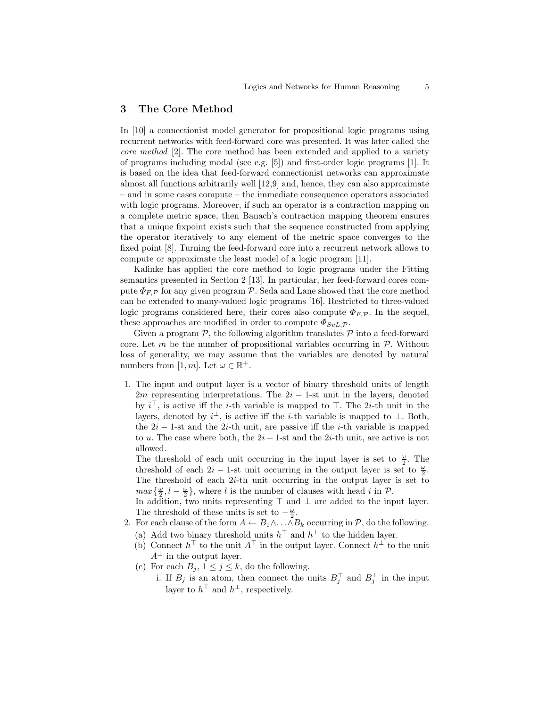### 3 The Core Method

In [10] a connectionist model generator for propositional logic programs using recurrent networks with feed-forward core was presented. It was later called the core method [2]. The core method has been extended and applied to a variety of programs including modal (see e.g. [5]) and first-order logic programs [1]. It is based on the idea that feed-forward connectionist networks can approximate almost all functions arbitrarily well [12,9] and, hence, they can also approximate – and in some cases compute – the immediate consequence operators associated with logic programs. Moreover, if such an operator is a contraction mapping on a complete metric space, then Banach's contraction mapping theorem ensures that a unique fixpoint exists such that the sequence constructed from applying the operator iteratively to any element of the metric space converges to the fixed point [8]. Turning the feed-forward core into a recurrent network allows to compute or approximate the least model of a logic program [11].

Kalinke has applied the core method to logic programs under the Fitting semantics presented in Section 2 [13]. In particular, her feed-forward cores compute  $\Phi_{F,P}$  for any given program P. Seda and Lane showed that the core method can be extended to many-valued logic programs [16]. Restricted to three-valued logic programs considered here, their cores also compute  $\Phi_{F,\mathcal{P}}$ . In the sequel, these approaches are modified in order to compute  $\Phi_{SvL,\mathcal{P}}$ .

Given a program  $P$ , the following algorithm translates  $P$  into a feed-forward core. Let m be the number of propositional variables occurring in  $P$ . Without loss of generality, we may assume that the variables are denoted by natural numbers from [1, m]. Let  $\omega \in \mathbb{R}^+$ .

1. The input and output layer is a vector of binary threshold units of length 2m representing interpretations. The  $2i - 1$ -st unit in the layers, denoted by  $i^{\top}$ , is active iff the *i*-th variable is mapped to  $\top$ . The 2*i*-th unit in the layers, denoted by  $i^{\perp}$ , is active iff the *i*-th variable is mapped to  $\perp$ . Both, the  $2i - 1$ -st and the  $2i$ -th unit, are passive iff the *i*-th variable is mapped to u. The case where both, the  $2i - 1$ -st and the 2i-th unit, are active is not allowed.

The threshold of each unit occurring in the input layer is set to  $\frac{\omega}{2}$ . The threshold of each  $2i - 1$ -st unit occurring in the output layer is set to  $\frac{\omega}{2}$ . The threshold of each  $2i$ -th unit occurring in the output layer is set to  $max\{\frac{\omega}{2}, l - \frac{\omega}{2}\}\$ , where l is the number of clauses with head i in  $P$ .

In addition, two units representing  $\top$  and  $\bot$  are added to the input layer. The threshold of these units is set to  $-\frac{\omega}{2}$ .

- 2. For each clause of the form  $A \leftarrow B_1 \wedge \ldots \wedge B_k$  occurring in  $P$ , do the following.
	- (a) Add two binary threshold units  $h^{\top}$  and  $h^{\perp}$  to the hidden layer.
	- (b) Connect  $h^{\top}$  to the unit  $A^{\top}$  in the output layer. Connect  $h^{\perp}$  to the unit  $A^{\perp}$  in the output layer.
	- (c) For each  $B_j$ ,  $1 \leq j \leq k$ , do the following.
		- i. If  $B_j$  is an atom, then connect the units  $B_j^{\top}$  and  $B_j^{\perp}$  in the input layer to  $h^{\top}$  and  $h^{\perp}$ , respectively.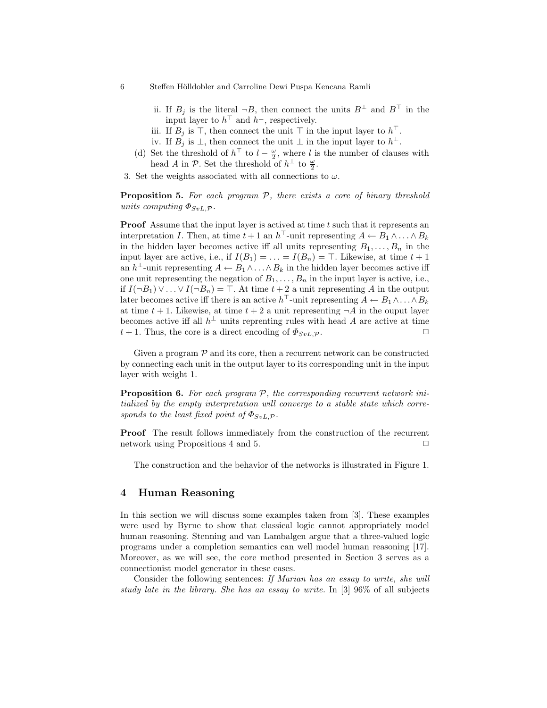- 6 Steffen Hölldobler and Carroline Dewi Puspa Kencana Ramli
	- ii. If  $B_i$  is the literal  $\neg B$ , then connect the units  $B^{\perp}$  and  $B^{\top}$  in the input layer to  $h^{\top}$  and  $h^{\perp}$ , respectively.
	- iii. If  $B_j$  is  $\top$ , then connect the unit  $\top$  in the input layer to  $h^{\top}$ .
	- iv. If  $B_j$  is  $\perp$ , then connect the unit  $\perp$  in the input layer to  $h^{\perp}$ .
	- (d) Set the threshold of  $h^{\top}$  to  $l \frac{\omega}{2}$ , where l is the number of clauses with head A in P. Set the threshold of  $h^{\perp}$  to  $\frac{\omega}{2}$ .
- 3. Set the weights associated with all connections to  $\omega.$

**Proposition 5.** For each program  $P$ , there exists a core of binary threshold units computing  $\Phi_{SvL,\mathcal{P}}$ .

**Proof** Assume that the input layer is actived at time t such that it represents an interpretation I. Then, at time  $t + 1$  an  $h^{\top}$ -unit representing  $A \leftarrow B_1 \wedge \ldots \wedge B_k$ in the hidden layer becomes active iff all units representing  $B_1, \ldots, B_n$  in the input layer are active, i.e., if  $I(B_1) = \ldots = I(B_n) = \top$ . Likewise, at time  $t + 1$ an  $h^{\perp}$ -unit representing  $A \leftarrow B_1 \wedge \ldots \wedge B_k$  in the hidden layer becomes active iff one unit representing the negation of  $B_1, \ldots, B_n$  in the input layer is active, i.e., if  $I(\neg B_1) \lor ... \lor I(\neg B_n) = \top$ . At time  $t + 2$  a unit representing A in the output later becomes active iff there is an active  $h^{\top}$ -unit representing  $A \leftarrow B_1 \wedge \ldots \wedge B_k$ at time  $t + 1$ . Likewise, at time  $t + 2$  a unit representing  $\neg A$  in the ouput layer becomes active iff all  $h^{\perp}$  units reprenting rules with head A are active at time  $t + 1$ . Thus, the core is a direct encoding of  $\Phi_{SvL,\mathcal{P}}$ .

Given a program  $P$  and its core, then a recurrent network can be constructed by connecting each unit in the output layer to its corresponding unit in the input layer with weight 1.

**Proposition 6.** For each program  $P$ , the corresponding recurrent network initialized by the empty interpretation will converge to a stable state which corresponds to the least fixed point of  $\Phi_{SvL,\mathcal{P}}$ .

Proof The result follows immediately from the construction of the recurrent network using Propositions 4 and 5.  $\Box$ 

The construction and the behavior of the networks is illustrated in Figure 1.

# 4 Human Reasoning

In this section we will discuss some examples taken from [3]. These examples were used by Byrne to show that classical logic cannot appropriately model human reasoning. Stenning and van Lambalgen argue that a three-valued logic programs under a completion semantics can well model human reasoning [17]. Moreover, as we will see, the core method presented in Section 3 serves as a connectionist model generator in these cases.

Consider the following sentences: If Marian has an essay to write, she will study late in the library. She has an essay to write. In [3] 96% of all subjects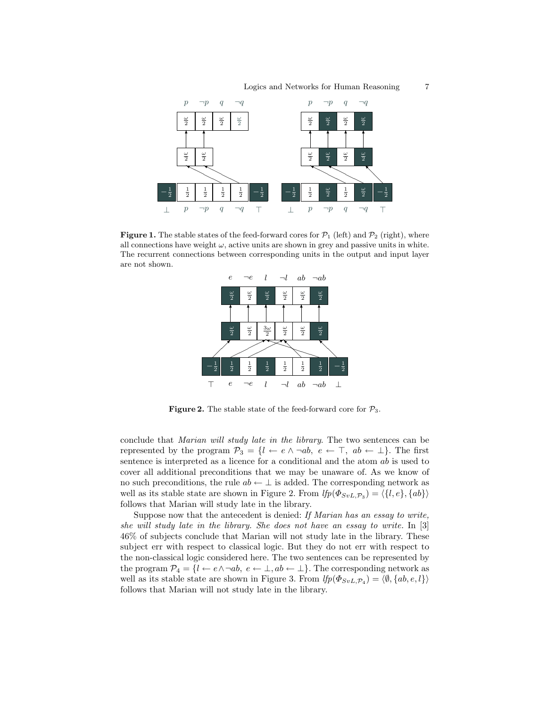

**Figure 1.** The stable states of the feed-forward cores for  $\mathcal{P}_1$  (left) and  $\mathcal{P}_2$  (right), where all connections have weight  $\omega$ , active units are shown in grey and passive units in white. The recurrent connections between corresponding units in the output and input layer are not shown.



**Figure 2.** The stable state of the feed-forward core for  $\mathcal{P}_3$ .

conclude that Marian will study late in the library. The two sentences can be represented by the program  $\mathcal{P}_3 = \{l \leftarrow e \land \neg ab, e \leftarrow \top, ab \leftarrow \bot\}.$  The first sentence is interpreted as a licence for a conditional and the atom ab is used to cover all additional preconditions that we may be unaware of. As we know of no such preconditions, the rule  $ab \leftarrow \perp$  is added. The corresponding network as well as its stable state are shown in Figure 2. From  $lfp(\Phi_{SvL, P_3}) = \langle \{l, e\}, \{ab\} \rangle$ follows that Marian will study late in the library.

Suppose now that the antecedent is denied: If Marian has an essay to write, she will study late in the library. She does not have an essay to write. In [3] 46% of subjects conclude that Marian will not study late in the library. These subject err with respect to classical logic. But they do not err with respect to the non-classical logic considered here. The two sentences can be represented by the program  $\mathcal{P}_4 = \{l \leftarrow e \land \neg ab, e \leftarrow \bot, ab \leftarrow \bot\}$ . The corresponding network as well as its stable state are shown in Figure 3. From  $lfp(\Phi_{SvL, P_4}) = \langle \emptyset, \{ab, e, l\} \rangle$ follows that Marian will not study late in the library.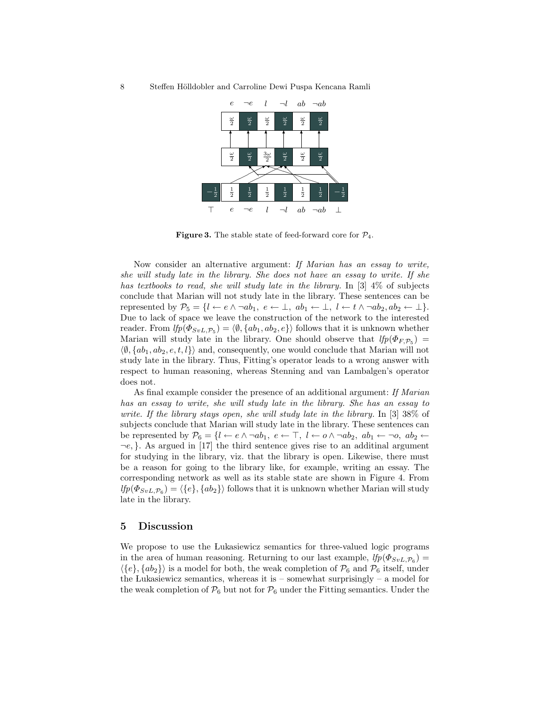

**Figure 3.** The stable state of feed-forward core for  $\mathcal{P}_4$ .

Now consider an alternative argument: If Marian has an essay to write, she will study late in the library. She does not have an essay to write. If she has textbooks to read, she will study late in the library. In  $[3]$  4\% of subjects conclude that Marian will not study late in the library. These sentences can be represented by  $\mathcal{P}_5 = \{l \leftarrow e \land \neg ab_1, e \leftarrow \bot, ab_1 \leftarrow \bot, l \leftarrow t \land \neg ab_2, ab_2 \leftarrow \bot\}.$ Due to lack of space we leave the construction of the network to the interested reader. From  $\text{If} p(\Phi_{SvL, \mathcal{P}_5}) = \langle \emptyset, \{ab_1, ab_2, e\} \rangle$  follows that it is unknown whether Marian will study late in the library. One should observe that  $lfp(\Phi_{F,\mathcal{P}_5}) =$  $\langle \emptyset, \{ab_1, ab_2, e, t, l\} \rangle$  and, consequently, one would conclude that Marian will not study late in the library. Thus, Fitting's operator leads to a wrong answer with respect to human reasoning, whereas Stenning and van Lambalgen's operator does not.

As final example consider the presence of an additional argument: If Marian has an essay to write, she will study late in the library. She has an essay to write. If the library stays open, she will study late in the library. In [3] 38% of subjects conclude that Marian will study late in the library. These sentences can be represented by  $\mathcal{P}_6 = \{l \leftarrow e \land \neg ab_1, e \leftarrow \top, l \leftarrow o \land \neg ab_2, ab_1 \leftarrow \neg o, ab_2 \leftarrow$  $\neg e, \}$ . As argued in [17] the third sentence gives rise to an additinal argument for studying in the library, viz. that the library is open. Likewise, there must be a reason for going to the library like, for example, writing an essay. The corresponding network as well as its stable state are shown in Figure 4. From  $lfp(\Phi_{SvL,\mathcal{P}_6}) = \langle \{e\}, \{ab_2\} \rangle$  follows that it is unknown whether Marian will study late in the library.

# 5 Discussion

We propose to use the Lukasiewicz semantics for three-valued logic programs in the area of human reasoning. Returning to our last example,  $\text{Ifp}(\Phi_{SvL,\mathcal{P}_6}) =$  $\langle \{e\}, \{ab_2\}\rangle$  is a model for both, the weak completion of  $\mathcal{P}_6$  and  $\mathcal{P}_6$  itself, under the Lukasiewicz semantics, whereas it is – somewhat surprisingly – a model for the weak completion of  $P_6$  but not for  $P_6$  under the Fitting semantics. Under the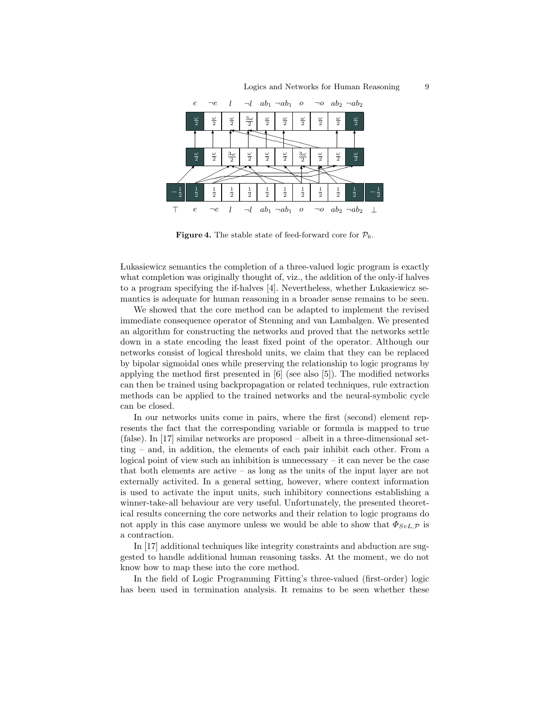

**Figure 4.** The stable state of feed-forward core for  $\mathcal{P}_6$ .

 Lukasiewicz semantics the completion of a three-valued logic program is exactly what completion was originally thought of, viz., the addition of the only-if halves to a program specifying the if-halves [4]. Nevertheless, whether Lukasiewicz semantics is adequate for human reasoning in a broader sense remains to be seen.

We showed that the core method can be adapted to implement the revised immediate consequence operator of Stenning and van Lambalgen. We presented an algorithm for constructing the networks and proved that the networks settle down in a state encoding the least fixed point of the operator. Although our networks consist of logical threshold units, we claim that they can be replaced by bipolar sigmoidal ones while preserving the relationship to logic programs by applying the method first presented in [6] (see also [5]). The modified networks can then be trained using backpropagation or related techniques, rule extraction methods can be applied to the trained networks and the neural-symbolic cycle can be closed.

In our networks units come in pairs, where the first (second) element represents the fact that the corresponding variable or formula is mapped to true (false). In [17] similar networks are proposed – albeit in a three-dimensional setting – and, in addition, the elements of each pair inhibit each other. From a logical point of view such an inhibition is unnecessary – it can never be the case that both elements are active – as long as the units of the input layer are not externally activited. In a general setting, however, where context information is used to activate the input units, such inhibitory connections establishing a winner-take-all behaviour are very useful. Unfortunately, the presented theoretical results concerning the core networks and their relation to logic programs do not apply in this case anymore unless we would be able to show that  $\Phi_{SvL,\mathcal{P}}$  is a contraction.

In [17] additional techniques like integrity constraints and abduction are suggested to handle additional human reasoning tasks. At the moment, we do not know how to map these into the core method.

In the field of Logic Programming Fitting's three-valued (first-order) logic has been used in termination analysis. It remains to be seen whether these